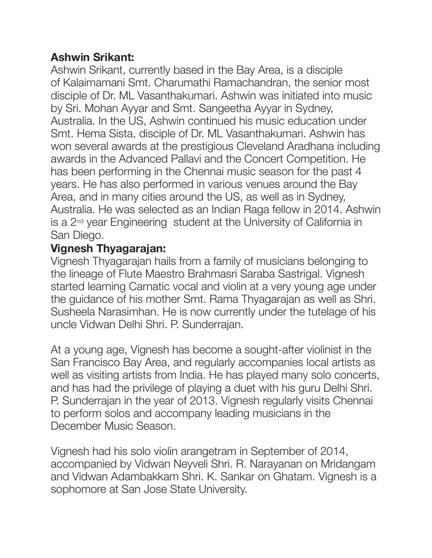## **Ashwin Srikant:**

Ashwin Srikant, currently based in the Bay Area, is a disciple of Kalaimamani Smt. Charumathi Ramachandran, the senior most disciple of Dr. ML Vasanthakumari. Ashwin was initiated into music by Sri. Mohan Ayyar and Smt. Sangeetha Ayyar in Sydney, Australia. In the US, Ashwin continued his music education under Smt. Hema Sista, disciple of Dr. ML Vasanthakumari. Ashwin has won several awards at the prestigious Cleveland Aradhana including awards in the Advanced Pallavi and the Concert Competition. He has been performing in the Chennai music season for the past 4 years. He has also performed in various venues around the Bay Area, and in many cities around the US, as well as in Sydney, Australia. He was selected as an Indian Raga fellow in 2014. Ashwin is a 2nd year Engineering student at the University of California in San Diego.

## **Vignesh Thyagarajan:**

Vignesh Thyagarajan hails from a family of musicians belonging to the lineage of Flute Maestro Brahmasri Saraba Sastrigal. Vignesh started learning Carnatic vocal and violin at a very young age under the guidance of his mother Smt. Rama Thyagarajan as well as Shri. Susheela Narasimhan. He is now currently under the tutelage of his uncle Vidwan Delhi Shri. P. Sunderrajan.

At a young age, Vignesh has become a sought-after violinist in the San Francisco Bay Area, and regularly accompanies local artists as well as visiting artists from India. He has played many solo concerts, and has had the privilege of playing a duet with his guru Delhi Shri. P. Sunderrajan in the year of 2013. Vignesh regularly visits Chennai to perform solos and accompany leading musicians in the December Music Season.

Vignesh had his solo violin arangetram in September of 2014, accompanied by Vidwan Neyveli Shri. R. Narayanan on Mridangam and Vidwan Adambakkam Shri. K. Sankar on Ghatam. Vignesh is a sophomore at San Jose State University.